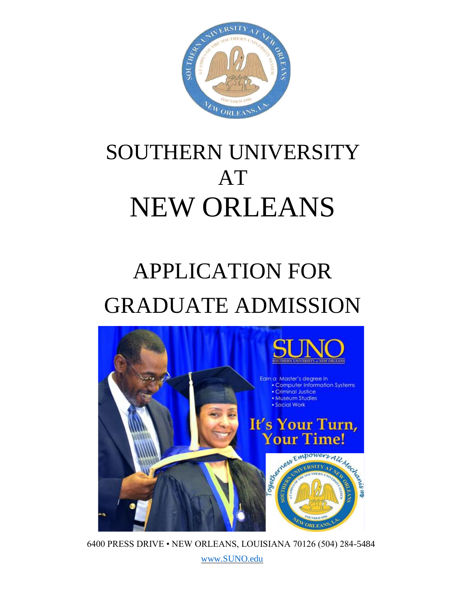

# SOUTHERN UNIVERSITY AT NEW ORLEANS

# APPLICATION FOR GRADUATE ADMISSION



6400 PRESS DRIVE • NEW ORLEANS, LOUISIANA 70126 (504) 284-5484 [www.SUNO.edu](http://www.suno.edu/)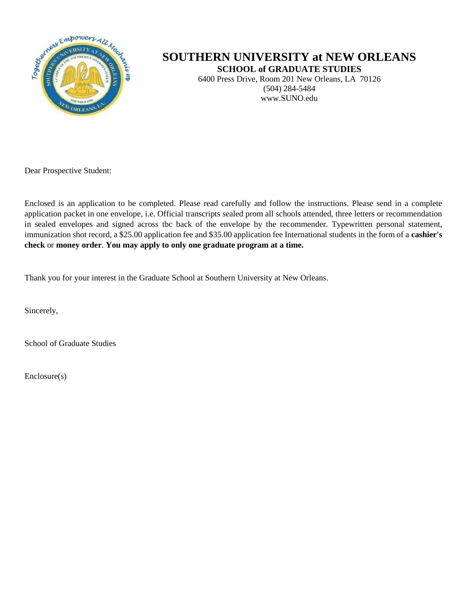

# **SOUTHERN UNIVERSITY at NEW ORLEANS**

**SCHOOL of GRADUATE STUDIES**

6400 Press Drive, Room 201 New Orleans, LA 70126 (504) 284-5484 www.SUNO.edu

Dear Prospective Student:

Enclosed is an application to be completed. Please read carefully and follow the instructions. Please send in a complete application packet in one envelope, i.e. Official transcripts sealed prom all schools attended, three letters or recommendation in sealed envelopes and signed across tbc back of the envelope by the recommender. Typewritten personal statement, immunization shot record, a \$25.00 application fee and \$35.00 application fee International students in the form of a **cashier's check** or **money order**. **You may apply to only one graduate program at a time.**

Thank you for your interest in the Graduate School at Southern University at New Orleans.

Sincerely,

School of Graduate Studies

Enclosure(s)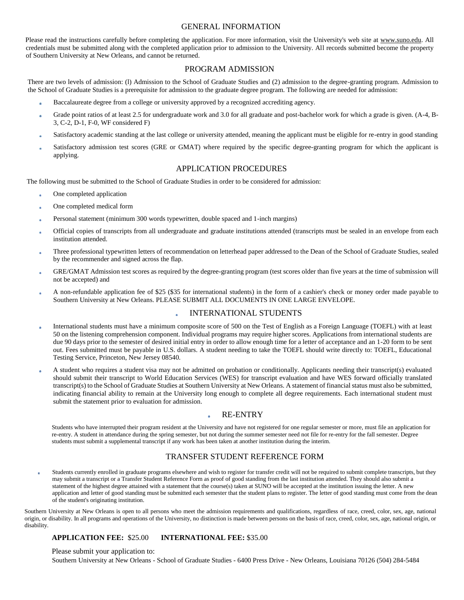#### GENERAL INFORMATION

Please read the instructions carefully before completing the application. For more information, visit the University's web site at www.suno.edu. All credentials must be submitted along with the completed application prior to admission to the University. All records submitted become the property of Southern University at New Orleans, and cannot be returned.

## PROGRAM ADMISSION

There are two levels of admission: (l) Admission to the School of Graduate Studies and (2) admission to the degree-granting program. Admission to the School of Graduate Studies is a prerequisite for admission to the graduate degree program. The following are needed for admission:

- Baccalaureate degree from a college or university approved by a recognized accrediting agency.
- Grade point ratios of at least 2.5 for undergraduate work and 3.0 for all graduate and post-bachelor work for which a grade is given. (A-4, B-3, C-2, D-1, F-0, WF considered F)
- Satisfactory academic standing at the last college or university attended, meaning the applicant must be eligible for re-entry in good standing
- Satisfactory admission test scores (GRE or GMAT) where required by the specific degree-granting program for which the applicant is applying.

#### APPLICATION PROCEDURES

The following must be submitted to the School of Graduate Studies in order to be considered for admission:

- One completed application
- One completed medical form
- Personal statement (minimum 300 words typewritten, double spaced and 1-inch margins)
- Official copies of transcripts from all undergraduate and graduate institutions attended (transcripts must be sealed in an envelope from each institution attended.
- Three professional typewritten letters of recommendation on letterhead paper addressed to the Dean of the School of Graduate Studies, sealed by the recommender and signed across the flap.
- GRE/GMAT Admission test scores as required by the degree-granting program (test scores older than five years at the time of submission will not be accepted) and
- A non-refundable application fee of \$25 (\$35 for international students) in the form of a cashier's check or money order made payable to Southern University at New Orleans. PLEASE SUBMIT ALL DOCUMENTS IN ONE LARGE ENVELOPE.

# INTERNATIONAL STUDENTS

- International students must have a minimum composite score of 500 on the Test of English as a Foreign Language (TOEFL) with at least 50 on the listening comprehension component. Individual programs may require higher scores. Applications from international students are due 90 days prior to the semester of desired initial entry in order to allow enough time for a letter of acceptance and an 1-20 form to be sent out. Fees submitted must be payable in U.S. dollars. A student needing to take the TOEFL should write directly to: TOEFL, Educational Testing Service, Princeton, New Jersey 08540.
- A student who requires a student visa may not be admitted on probation or conditionally. Applicants needing their transcript(s) evaluated should submit their transcript to World Education Services (WES) for transcript evaluation and have WES forward officially translated transcript(s) to the School of Graduate Studies at Southern University at New Orleans. A statement of financial status must also be submitted, indicating financial ability to remain at the University long enough to complete all degree requirements. Each international student must submit the statement prior to evaluation for admission.

## RE-ENTRY

Students who have interrupted their program resident at the University and have not registered for one regular semester or more, must file an application for re-entry. A student in attendance during the spring semester, but not during the summer semester need not file for re-entry for the fall semester. Degree students must submit a supplemental transcript if any work has been taken at another institution during the interim.

# TRANSFER STUDENT REFERENCE FORM

Students currently enrolled in graduate programs elsewhere and wish to register for transfer credit will not be required to submit complete transcripts, but they may submit a transcript or a Transfer Student Reference Form as proof of good standing from the last institution attended. They should also submit a statement of the highest degree attained with a statement that the course(s) taken at SUNO will be accepted at the institution issuing the letter. A new application and letter of good standing must be submitted each semester that the student plans to register. The letter of good standing must come from the dean of the student's originating institution.

Southern University at New Orleans is open to all persons who meet the admission requirements and qualifications, regardless of race, creed, color, sex, age, national origin, or disability. In all programs and operations of the University, no distinction is made between persons on the basis of race, creed, color, sex, age, national origin, or disability.

## **APPLICATION FEE:** \$25.00 **INTERNATIONAL FEE:** \$35.00

#### Please submit your application to:

Southern University at New Orleans - School of Graduate Studies - 6400 Press Drive - New Orleans, Louisiana 70126 (504) 284-5484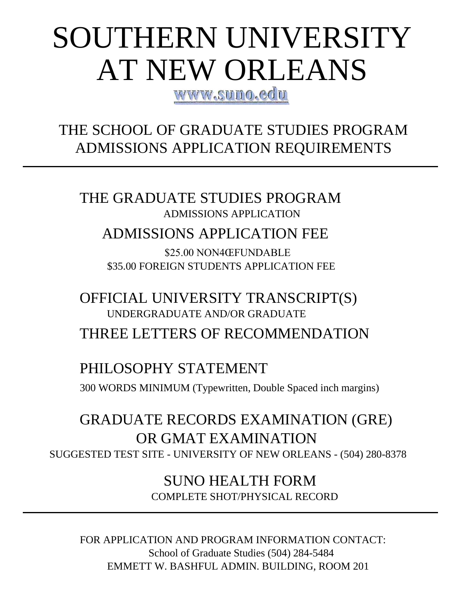# SOUTHERN UNIVERSITY AT NEW ORLEANS

WWW.SUNO.edu

THE SCHOOL OF GRADUATE STUDIES PROGRAM ADMISSIONS APPLICATION REQUIREMENTS

THE GRADUATE STUDIES PROGRAM ADMISSIONS APPLICATION

# ADMISSIONS APPLICATION FEE

\$25.00 NON4ŒFUNDABLE \$35.00 FOREIGN STUDENTS APPLICATION FEE

OFFICIAL UNIVERSITY TRANSCRIPT(S) UNDERGRADUATE AND/OR GRADUATE THREE LETTERS OF RECOMMENDATION

# PHILOSOPHY STATEMENT

300 WORDS MINIMUM (Typewritten, Double Spaced inch margins)

GRADUATE RECORDS EXAMINATION (GRE) OR GMAT EXAMINATION SUGGESTED TEST SITE - UNIVERSITY OF NEW ORLEANS - (504) 280-8378

> SUNO HEALTH FORM COMPLETE SHOT/PHYSICAL RECORD

FOR APPLICATION AND PROGRAM INFORMATION CONTACT: School of Graduate Studies (504) 284-5484 EMMETT W. BASHFUL ADMIN. BUILDING, ROOM 201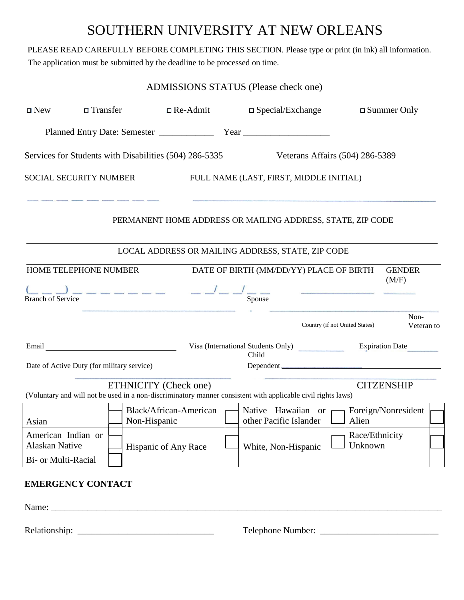# SOUTHERN UNIVERSITY AT NEW ORLEANS

PLEASE READ CAREFULLY BEFORE COMPLETING THIS SECTION. Please type or print (in ink) all information.

The application must be submitted by the deadline to be processed on time.

| $\Box$ New                                                                                 | □ Transfer |                                        | $\Box$ Re-Admit |  | $\Box$ Special/Exchange                                                                                      |  |                                | $\square$ Summer Only  |  |
|--------------------------------------------------------------------------------------------|------------|----------------------------------------|-----------------|--|--------------------------------------------------------------------------------------------------------------|--|--------------------------------|------------------------|--|
|                                                                                            |            |                                        |                 |  |                                                                                                              |  |                                |                        |  |
| Services for Students with Disabilities (504) 286-5335                                     |            |                                        |                 |  | Veterans Affairs (504) 286-5389                                                                              |  |                                |                        |  |
| <b>SOCIAL SECURITY NUMBER</b>                                                              |            |                                        |                 |  | FULL NAME (LAST, FIRST, MIDDLE INITIAL)                                                                      |  |                                |                        |  |
|                                                                                            |            |                                        |                 |  | PERMANENT HOME ADDRESS OR MAILING ADDRESS, STATE, ZIP CODE                                                   |  |                                |                        |  |
|                                                                                            |            |                                        |                 |  | LOCAL ADDRESS OR MAILING ADDRESS, STATE, ZIP CODE                                                            |  |                                |                        |  |
| HOME TELEPHONE NUMBER<br>DATE OF BIRTH (MM/DD/YY) PLACE OF BIRTH<br><b>GENDER</b><br>(M/F) |            |                                        |                 |  |                                                                                                              |  |                                |                        |  |
| <b>Branch of Service</b>                                                                   |            |                                        |                 |  |                                                                                                              |  |                                |                        |  |
|                                                                                            |            |                                        |                 |  |                                                                                                              |  | Country (if not United States) | Non-<br>Veteran to     |  |
|                                                                                            |            |                                        |                 |  | Visa (International Students Only)<br>Child                                                                  |  |                                | <b>Expiration Date</b> |  |
| Date of Active Duty (for military service)                                                 |            |                                        |                 |  |                                                                                                              |  |                                |                        |  |
|                                                                                            |            | ETHNICITY (Check one)                  |                 |  | (Voluntary and will not be used in a non-discriminatory manner consistent with applicable civil rights laws) |  |                                | <b>CITZENSHIP</b>      |  |
| Asian                                                                                      |            | Black/African-American<br>Non-Hispanic |                 |  | Native Hawaiian or<br>other Pacific Islander                                                                 |  | Alien                          | Foreign/Nonresident    |  |
| American Indian or<br><b>Alaskan Native</b>                                                |            | Hispanic of Any Race                   |                 |  | White, Non-Hispanic                                                                                          |  | Race/Ethnicity<br>Unknown      |                        |  |
| Bi- or Multi-Racial                                                                        |            |                                        |                 |  |                                                                                                              |  |                                |                        |  |
| <b>EMERGENCY CONTACT</b>                                                                   |            |                                        |                 |  |                                                                                                              |  |                                |                        |  |
| Name:                                                                                      |            |                                        |                 |  |                                                                                                              |  |                                |                        |  |

Relationship: \_\_\_\_\_\_\_\_\_\_\_\_\_\_\_\_\_\_\_\_\_\_\_\_\_\_\_\_\_\_ Telephone Number: \_\_\_\_\_\_\_\_\_\_\_\_\_\_\_\_\_\_\_\_\_\_\_\_\_\_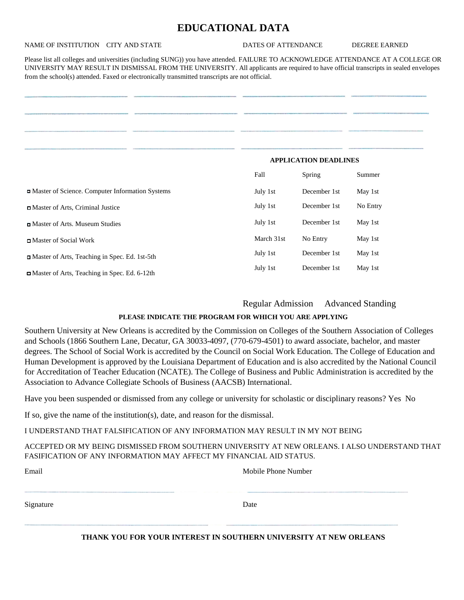# **EDUCATIONAL DATA**

## NAME OF INSTITUTION CITY AND STATE DATES OF ATTENDANCE DEGREE EARNED

Please list all colleges and universities (including SUNG)) you have attended. FAILURE TO ACKNOWLEDGE ATTENDANCE AT A COLLEGE OR UNIVERSITY MAY RESULT IN DISMISSAL FROM THE UNIVERSITY. All applicants are required to have official transcripts in sealed envelopes from the school(s) attended. Faxed or electronically transmitted transcripts are not official.

|                                                 | <b>APPLICATION DEADLINES</b> |               |          |
|-------------------------------------------------|------------------------------|---------------|----------|
|                                                 | Fall                         | <b>Spring</b> | Summer   |
| Master of Science. Computer Information Systems | July 1st                     | December 1st  | May 1st  |
| Master of Arts, Criminal Justice                | July 1st                     | December 1st  | No Entry |
| Master of Arts. Museum Studies                  | July 1st                     | December 1st  | May 1st  |
| ■ Master of Social Work                         | March 31st                   | No Entry      | May 1st  |
| Master of Arts, Teaching in Spec. Ed. 1st-5th   | July 1st                     | December 1st  | May 1st  |
| Master of Arts, Teaching in Spec. Ed. 6-12th    | July 1st                     | December 1st  | May 1st  |

Regular Admission Advanced Standing

# **PLEASE INDICATE THE PROGRAM FOR WHICH YOU ARE APPLYING**

Southern University at New Orleans is accredited by the Commission on Colleges of the Southern Association of Colleges and Schools (1866 Southern Lane, Decatur, GA 30033-4097, (770-679-4501) to award associate, bachelor, and master degrees. The School of Social Work is accredited by the Council on Social Work Education. The College of Education and Human Development is approved by the Louisiana Department of Education and is also accredited by the National Council for Accreditation of Teacher Education (NCATE). The College of Business and Public Administration is accredited by the Association to Advance Collegiate Schools of Business (AACSB) International.

Have you been suspended or dismissed from any college or university for scholastic or disciplinary reasons? Yes No

If so, give the name of the institution(s), date, and reason for the dismissal.

I UNDERSTAND THAT FALSIFICATION OF ANY INFORMATION MAY RESULT IN MY NOT BEING

# ACCEPTED OR MY BEING DISMISSED FROM SOUTHERN UNIVERSITY AT NEW ORLEANS. I ALSO UNDERSTAND THAT FASIFICATION OF ANY INFORMATION MAY AFFECT MY FINANCIAL AID STATUS.

| Email     | Mobile Phone Number |
|-----------|---------------------|
|           |                     |
|           |                     |
| Signature | Date                |
|           |                     |

**THANK YOU FOR YOUR INTEREST IN SOUTHERN UNIVERSITY AT NEW ORLEANS**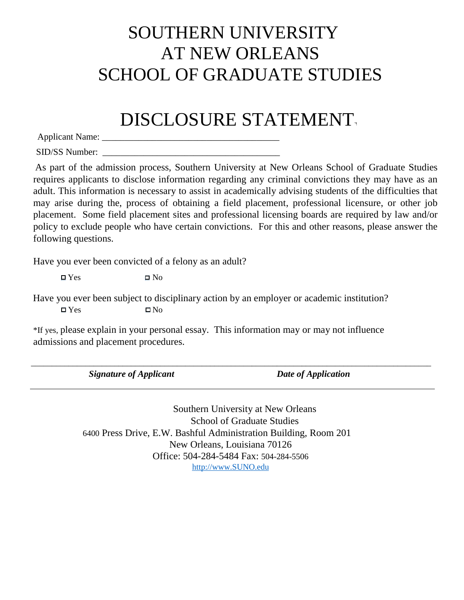# SOUTHERN UNIVERSITY AT NEW ORLEANS SCHOOL OF GRADUATE STUDIES

# DISCLOSURE STATEMENT

Applicant Name: \_\_\_\_\_\_\_\_\_\_\_\_\_\_\_\_\_\_\_\_\_\_\_\_\_\_\_\_\_\_\_\_\_\_\_\_\_\_\_

SID/SS Number:

As part of the admission process, Southern University at New Orleans School of Graduate Studies requires applicants to disclose information regarding any criminal convictions they may have as an adult. This information is necessary to assist in academically advising students of the difficulties that may arise during the, process of obtaining a field placement, professional licensure, or other job placement. Some field placement sites and professional licensing boards are required by law and/or policy to exclude people who have certain convictions. For this and other reasons, please answer the following questions.

Have you ever been convicted of a felony as an adult?

 $\Box$  Yes  $\Box$  No

Have you ever been subject to disciplinary action by an employer or academic institution?  $\Box$  Yes  $\Box$  No

\*If yes, please explain in your personal essay. This information may or may not influence admissions and placement procedures.

\_\_\_\_\_\_\_\_\_\_\_\_\_\_\_\_\_\_\_\_\_\_\_\_\_\_\_\_\_\_\_\_\_\_\_\_\_\_\_\_\_\_\_\_\_\_\_\_\_\_\_\_\_\_\_\_\_\_\_\_\_\_\_\_\_\_\_\_\_\_\_\_\_\_\_\_\_\_\_\_\_\_\_\_\_\_\_\_\_\_\_\_\_\_\_\_

*Signature of Applicant Date of Application*

Southern University at New Orleans School of Graduate Studies 6400 Press Drive, E.W. Bashful Administration Building, Room 201 New Orleans, Louisiana 70126 Office: 504-284-5484 Fax: 504-284-5506 [http://www.SUNO.edu](http://www.suno.edu/)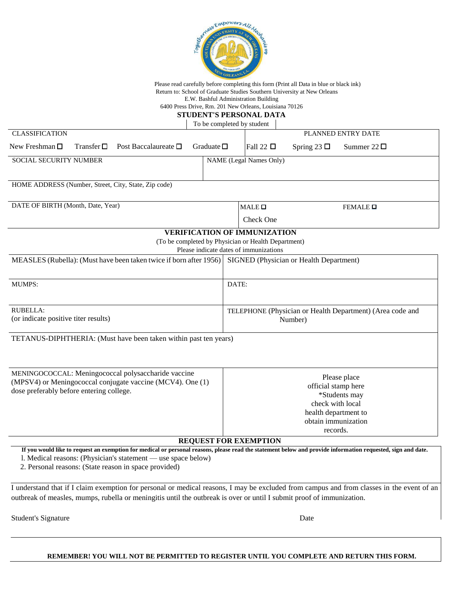

Please read carefully before completing this form (Print all Data in blue or black ink) Return to: School of Graduate Studies Southern University at New Orleans E.W. Bashful Administration Building

6400 Press Drive, Rm. 201 New Orleans, Louisiana 70126

### **STUDENT'S PERSONAL DATA**

To be completed by student

| <b>CLASSIFICATION</b>                                                                                  |  |                                                                    |                                                                                               |                                   | PLANNED ENTRY DATE |                                         |                                                                                                                                                              |  |  |
|--------------------------------------------------------------------------------------------------------|--|--------------------------------------------------------------------|-----------------------------------------------------------------------------------------------|-----------------------------------|--------------------|-----------------------------------------|--------------------------------------------------------------------------------------------------------------------------------------------------------------|--|--|
| New Freshman $\square$<br>Transfer $\square$<br>Post Baccalaureate $\square$                           |  |                                                                    | Graduate $\square$                                                                            |                                   | Fall 22 $\Box$     | Spring 23 $\Box$                        | Summer $22 \Box$                                                                                                                                             |  |  |
| SOCIAL SECURITY NUMBER                                                                                 |  |                                                                    |                                                                                               | <b>NAME</b> (Legal Names Only)    |                    |                                         |                                                                                                                                                              |  |  |
|                                                                                                        |  | HOME ADDRESS (Number, Street, City, State, Zip code)               |                                                                                               |                                   |                    |                                         |                                                                                                                                                              |  |  |
|                                                                                                        |  |                                                                    |                                                                                               |                                   |                    |                                         |                                                                                                                                                              |  |  |
| DATE OF BIRTH (Month, Date, Year)                                                                      |  |                                                                    |                                                                                               | $MALE$ $\square$<br>FEMALE $\Box$ |                    |                                         |                                                                                                                                                              |  |  |
|                                                                                                        |  |                                                                    |                                                                                               |                                   | Check One          |                                         |                                                                                                                                                              |  |  |
|                                                                                                        |  |                                                                    | <b>VERIFICATION OF IMMUNIZATION</b>                                                           |                                   |                    |                                         |                                                                                                                                                              |  |  |
|                                                                                                        |  |                                                                    | (To be completed by Physician or Health Department)<br>Please indicate dates of immunizations |                                   |                    |                                         |                                                                                                                                                              |  |  |
|                                                                                                        |  | MEASLES (Rubella): (Must have been taken twice if born after 1956) |                                                                                               |                                   |                    | SIGNED (Physician or Health Department) |                                                                                                                                                              |  |  |
|                                                                                                        |  |                                                                    |                                                                                               |                                   |                    |                                         |                                                                                                                                                              |  |  |
| <b>MUMPS:</b>                                                                                          |  |                                                                    |                                                                                               | DATE:                             |                    |                                         |                                                                                                                                                              |  |  |
|                                                                                                        |  |                                                                    |                                                                                               |                                   |                    |                                         |                                                                                                                                                              |  |  |
| <b>RUBELLA:</b>                                                                                        |  |                                                                    |                                                                                               |                                   |                    |                                         | TELEPHONE (Physician or Health Department) (Area code and                                                                                                    |  |  |
| (or indicate positive titer results)                                                                   |  |                                                                    |                                                                                               | Number)                           |                    |                                         |                                                                                                                                                              |  |  |
|                                                                                                        |  | TETANUS-DIPHTHERIA: (Must have been taken within past ten years)   |                                                                                               |                                   |                    |                                         |                                                                                                                                                              |  |  |
|                                                                                                        |  |                                                                    |                                                                                               |                                   |                    |                                         |                                                                                                                                                              |  |  |
|                                                                                                        |  |                                                                    |                                                                                               |                                   |                    |                                         |                                                                                                                                                              |  |  |
|                                                                                                        |  | MENINGOCOCCAL: Meningococcal polysaccharide vaccine                |                                                                                               |                                   |                    |                                         | Please place                                                                                                                                                 |  |  |
| (MPSV4) or Meningococcal conjugate vaccine (MCV4). One (1)<br>dose preferably before entering college. |  |                                                                    | official stamp here                                                                           |                                   |                    |                                         |                                                                                                                                                              |  |  |
|                                                                                                        |  |                                                                    |                                                                                               |                                   |                    |                                         | *Students may                                                                                                                                                |  |  |
|                                                                                                        |  |                                                                    |                                                                                               |                                   |                    | check with local                        |                                                                                                                                                              |  |  |
|                                                                                                        |  |                                                                    |                                                                                               |                                   |                    | health department to                    |                                                                                                                                                              |  |  |
|                                                                                                        |  |                                                                    |                                                                                               |                                   |                    | obtain immunization                     |                                                                                                                                                              |  |  |
|                                                                                                        |  |                                                                    |                                                                                               |                                   |                    | records.                                |                                                                                                                                                              |  |  |
|                                                                                                        |  |                                                                    | <b>REQUEST FOR EXEMPTION</b>                                                                  |                                   |                    |                                         |                                                                                                                                                              |  |  |
|                                                                                                        |  |                                                                    |                                                                                               |                                   |                    |                                         | If you would like to request an exemption for medical or personal reasons, please read the statement below and provide information requested, sign and date. |  |  |
|                                                                                                        |  | 1. Medical reasons: (Physician's statement — use space below)      |                                                                                               |                                   |                    |                                         |                                                                                                                                                              |  |  |
|                                                                                                        |  | 2. Personal reasons: (State reason in space provided)              |                                                                                               |                                   |                    |                                         |                                                                                                                                                              |  |  |

I understand that if I claim exemption for personal or medical reasons, I may be excluded from campus and from classes in the event of an outbreak of measles, mumps, rubella or meningitis until the outbreak is over or until I submit proof of immunization.

Student's Signature Date Date of the Student's Signature Date Date of the Student's Signature Date

#### **REMEMBER! YOU WILL NOT BE PERMITTED TO REGISTER UNTIL YOU COMPLETE AND RETURN THIS FORM.**